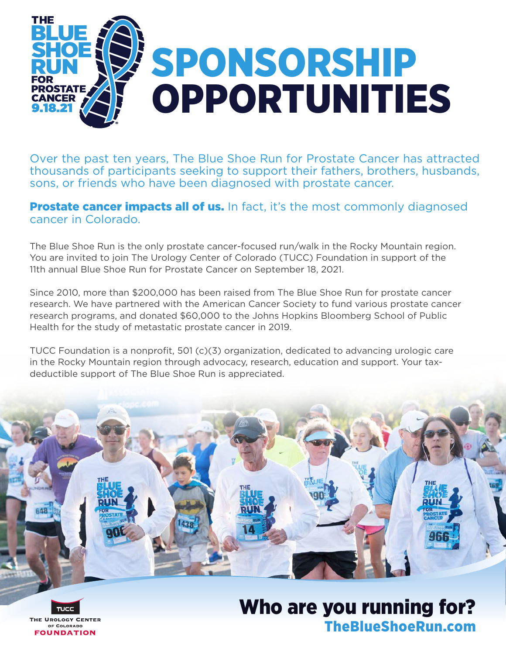

Over the past ten years, The Blue Shoe Run for Prostate Cancer has attracted thousands of participants seeking to support their fathers, brothers, husbands, sons, or friends who have been diagnosed with prostate cancer.

#### **Prostate cancer impacts all of us.** In fact, it's the most commonly diagnosed cancer in Colorado.

The Blue Shoe Run is the only prostate cancer-focused run/walk in the Rocky Mountain region. You are invited to join The Urology Center of Colorado (TUCC) Foundation in support of the 11th annual Blue Shoe Run for Prostate Cancer on September 18, 2021.

Since 2010, more than \$200,000 has been raised from The Blue Shoe Run for prostate cancer research. We have partnered with the American Cancer Society to fund various prostate cancer research programs, and donated \$60,000 to the Johns Hopkins Bloomberg School of Public Health for the study of metastatic prostate cancer in 2019.

TUCC Foundation is a nonprofit, 501 (c)(3) organization, dedicated to advancing urologic care in the Rocky Mountain region through advocacy, research, education and support. Your taxdeductible support of The Blue Shoe Run is appreciated.

## Who are you running for? TheBlueShoeRun.com

**IE UROLOGY CENTER** OF COLORADO **FOUNDATION**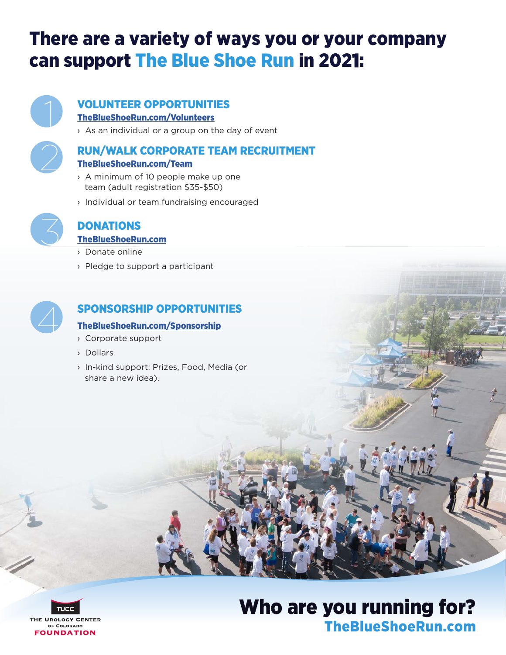## There are a variety of ways you or your company can support The Blue Shoe Run in 2021:



#### VOLUNTEER OPPORTUNITIES TheBlueShoeRun.com/Volunteers

› As an individual or a group on the day of event



### RUN/WALK CORPORATE TEAM RECRUITMENT

#### TheBlueShoeRun.com/Team

- › A minimum of 10 people make up one team (adult registration \$35-\$50)
- › Individual or team fundraising encouraged



### DONATIONS

#### TheBlueShoeRun.com

- › Donate online
- › Pledge to support a participant



### SPONSORSHIP OPPORTUNITIES

#### TheBlueShoeRun.com/Sponsorship

- › Corporate support
- › Dollars
- › In-kind support: Prizes, Food, Media (or share a new idea).

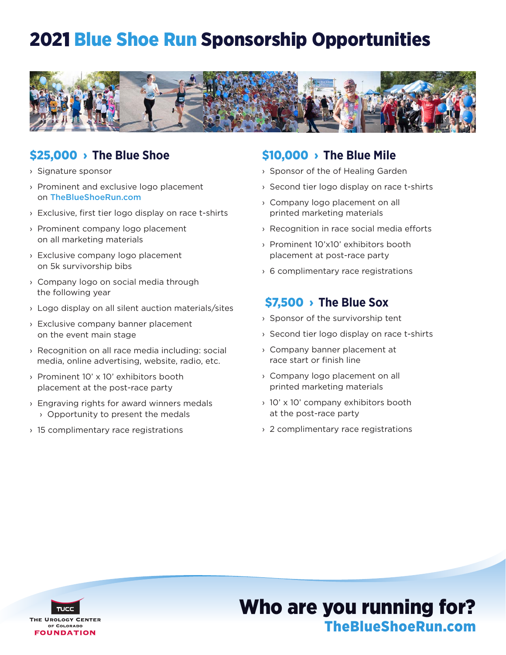## 2021 Blue Shoe Run Sponsorship Opportunities



### \$25,000 › **The Blue Shoe**

- › Signature sponsor
- › Prominent and exclusive logo placement on TheBlueShoeRun.com
- › Exclusive, first tier logo display on race t-shirts
- › Prominent company logo placement on all marketing materials
- › Exclusive company logo placement on 5k survivorship bibs
- › Company logo on social media through the following year
- › Logo display on all silent auction materials/sites
- › Exclusive company banner placement on the event main stage
- › Recognition on all race media including: social media, online advertising, website, radio, etc.
- › Prominent 10' x 10' exhibitors booth placement at the post-race party
- › Engraving rights for award winners medals › Opportunity to present the medals
- › 15 complimentary race registrations

### \$10,000 › **The Blue Mile**

- › Sponsor of the of Healing Garden
- › Second tier logo display on race t-shirts
- › Company logo placement on all printed marketing materials
- › Recognition in race social media efforts
- › Prominent 10'x10' exhibitors booth placement at post-race party
- › 6 complimentary race registrations

### \$7,500 › **The Blue Sox**

- › Sponsor of the survivorship tent
- › Second tier logo display on race t-shirts
- › Company banner placement at race start or finish line
- › Company logo placement on all printed marketing materials
- › 10' x 10' company exhibitors booth at the post-race party
- › 2 complimentary race registrations

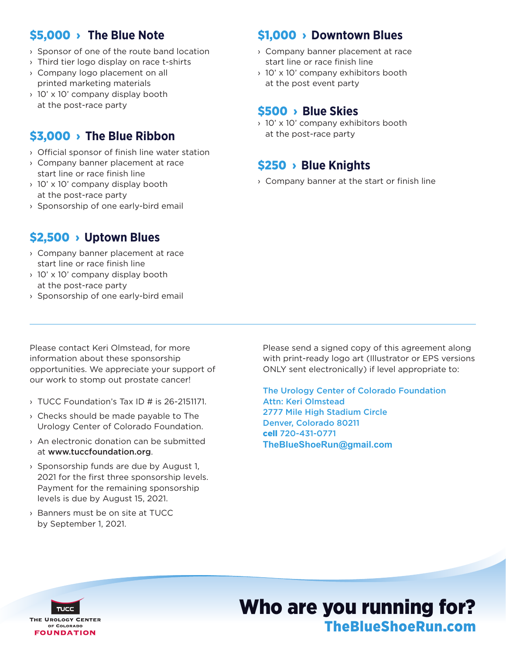### \$5,000 › **The Blue Note**

- › Sponsor of one of the route band location
- › Third tier logo display on race t-shirts
- › Company logo placement on all printed marketing materials
- › 10' x 10' company display booth at the post-race party

### \$3,000 › **The Blue Ribbon**

- › Official sponsor of finish line water station
- › Company banner placement at race start line or race finish line
- › 10' x 10' company display booth at the post-race party
- › Sponsorship of one early-bird email

### \$1,000 › **Downtown Blues**

- › Company banner placement at race start line or race finish line
- › 10' x 10' company exhibitors booth at the post event party

### \$500 › **Blue Skies**

› 10' x 10' company exhibitors booth at the post-race party

### \$250 › **Blue Knights**

› Company banner at the start or finish line

### \$2,500 › **Uptown Blues**

- › Company banner placement at race start line or race finish line
- › 10' x 10' company display booth at the post-race party
- › Sponsorship of one early-bird email

Please contact Keri Olmstead, for more

information about these sponsorship opportunities. We appreciate your support of our work to stomp out prostate cancer!

- › TUCC Foundation's Tax ID # is 26-2151171.
- › Checks should be made payable to The Urology Center of Colorado Foundation.
- › An electronic donation can be submitted at www.tuccfoundation.org.
- › Sponsorship funds are due by August 1, 2021 for the first three sponsorship levels. Payment for the remaining sponsorship levels is due by August 15, 2021.
- › Banners must be on site at TUCC by September 1, 2021.

Please send a signed copy of this agreement along with print-ready logo art (Illustrator or EPS versions ONLY sent electronically) if level appropriate to:

The Urology Center of Colorado Foundation Attn: Keri Olmstead 2777 Mile High Stadium Circle Denver, Colorado 80211 cell 720-431-0771 **TheBlueShoeRun@gmail.com**

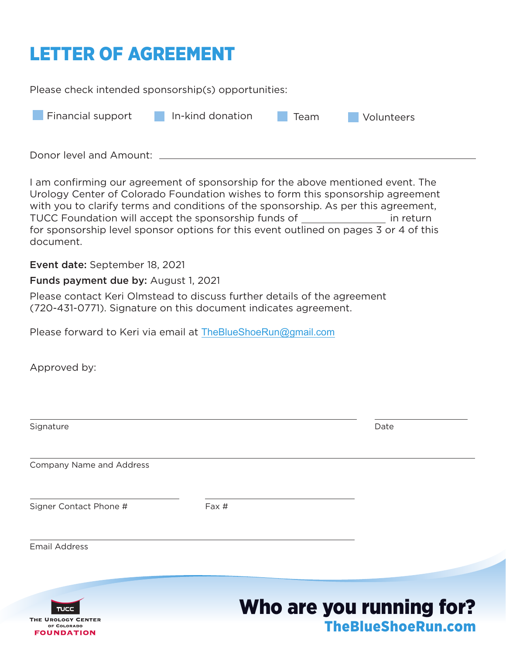# LETTER OF AGREEMENT

Please check intended sponsorship(s) opportunities:

| Financial support       | In-kind donation | Team | Volunteers |
|-------------------------|------------------|------|------------|
| Donor level and Amount: |                  |      |            |

I am confirming our agreement of sponsorship for the above mentioned event. The Urology Center of Colorado Foundation wishes to form this sponsorship agreement with you to clarify terms and conditions of the sponsorship. As per this agreement, TUCC Foundation will accept the sponsorship funds of **in return** in return for sponsorship level sponsor options for this event outlined on pages 3 or 4 of this document.

Event date: September 18, 2021

#### Funds payment due by: August 1, 2021

Please contact Keri Olmstead to discuss further details of the agreement (720-431-0771). Signature on this document indicates agreement.

Please forward to Keri via email at TheBlueShoeRun@gmail.com

Approved by:

OF COLORADO **FOUNDATION** 

| Signature                         |                          | Date |
|-----------------------------------|--------------------------|------|
|                                   |                          |      |
| Company Name and Address          |                          |      |
| Signer Contact Phone #            | Fax #                    |      |
| <b>Email Address</b>              |                          |      |
|                                   |                          |      |
| <b>TUCC</b><br>THE UROLOGY CENTER | Who are you running for? |      |

TheBlueShoeRun.com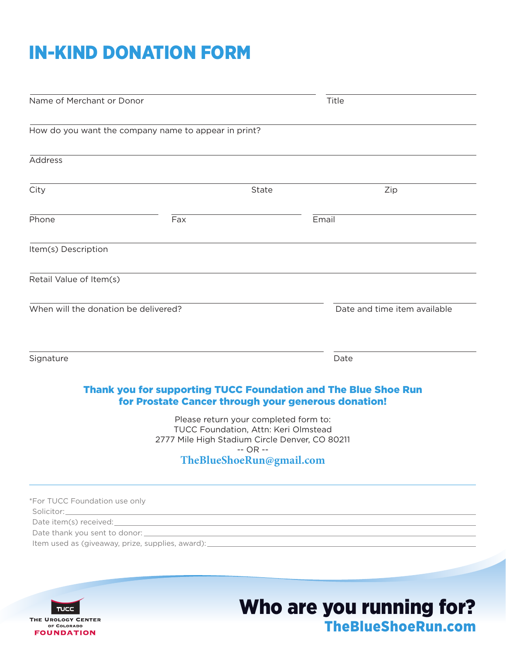# IN-KIND DONATION FORM

| How do you want the company name to appear in print?<br>Address<br>City<br>State<br>Phone<br>Fax<br>Item(s) Description<br>Retail Value of Item(s)<br>When will the donation be delivered?<br>Signature<br>Thank you for supporting TUCC Foundation and The Blue Shoe Run | Zip<br>Email                 |
|---------------------------------------------------------------------------------------------------------------------------------------------------------------------------------------------------------------------------------------------------------------------------|------------------------------|
|                                                                                                                                                                                                                                                                           |                              |
|                                                                                                                                                                                                                                                                           |                              |
|                                                                                                                                                                                                                                                                           |                              |
|                                                                                                                                                                                                                                                                           |                              |
|                                                                                                                                                                                                                                                                           |                              |
|                                                                                                                                                                                                                                                                           |                              |
|                                                                                                                                                                                                                                                                           | Date and time item available |
|                                                                                                                                                                                                                                                                           | Date                         |
| for Prostate Cancer through your generous donation!                                                                                                                                                                                                                       |                              |
| Please return your completed form to:<br>TUCC Foundation, Attn: Keri Olmstead<br>2777 Mile High Stadium Circle Denver, CO 80211                                                                                                                                           |                              |
| $-$ OR $-$<br>TheBlueShoeRun@gmail.com                                                                                                                                                                                                                                    |                              |
| *For TUCC Foundation use only                                                                                                                                                                                                                                             |                              |
| Item used as (giveaway, prize, supplies, award): _______________________________                                                                                                                                                                                          |                              |